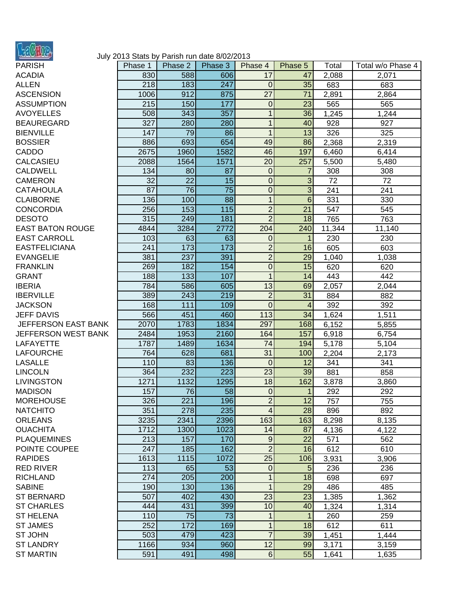

## July 2013 Stats by Parish run date 8/02/2013

| PARISH                  |
|-------------------------|
| <b>ACADIA</b>           |
| <b>ALLEN</b>            |
| <b>ASCENSION</b>        |
| <b>ASSUMPTION</b>       |
| <b>AVOYELLES</b>        |
| <b>BEAUREGARD</b>       |
|                         |
| <b>BIENVILLE</b>        |
| <b>BOSSIER</b>          |
| CADDO                   |
| CALCASIEU               |
| <b>CALDWELL</b>         |
| CAMERON                 |
| <b>CATAHOULA</b>        |
| <b>CLAIBORNE</b>        |
| <b>CONCORDIA</b>        |
|                         |
| <b>DESOTO</b>           |
| <b>EAST BATON ROUGE</b> |
| <b>EAST CARROLL</b>     |
| <b>EASTFELICIANA</b>    |
| <b>EVANGELIE</b>        |
| <b>FRANKLIN</b>         |
| <b>GRANT</b>            |
| <b>IBERIA</b>           |
| <b>IBERVILLE</b>        |
|                         |
| <b>JACKSON</b>          |
| <b>JEFF DAVIS</b>       |
| JEFFERSON EAST BANK     |
| JEFFERSON WEST BANK     |
| <b>LAFAYETTE</b>        |
| <b>LAFOURCHE</b>        |
| <b>LASALLE</b>          |
| <b>LINCOLN</b>          |
| <b>LIVINGSTON</b>       |
| <b>MADISON</b>          |
| <b>MOREHOUSE</b>        |
|                         |
| <b>NATCHITO</b>         |
| <b>ORLEANS</b>          |
| <b>OUACHITA</b>         |
| <b>PLAQUEMINES</b>      |
| POINTE COUPEE           |
| <b>RAPIDES</b>          |
| <b>RED RIVER</b>        |
| <b>RICHLAND</b>         |
| <b>SABINE</b>           |
|                         |
| <b>ST BERNARD</b>       |
| <b>ST CHARLES</b>       |
| <b>ST HELENA</b>        |
| <b>ST JAMES</b>         |
| ST JOHN                 |
| <b>ST LANDRY</b>        |
|                         |
| <b>ST MARTIN</b>        |

| PARISH                     | Phase 1    | Phase 2   | Phase 3   | Phase 4          | Phase 5         | Total  | Total w/o Phase 4 |
|----------------------------|------------|-----------|-----------|------------------|-----------------|--------|-------------------|
| <b>ACADIA</b>              | 830        | 588       | 606       | 17               | 47              | 2,088  | 2,071             |
| <b>ALLEN</b>               | 218        | 183       | 247       | $\overline{0}$   | 35              | 683    | 683               |
| <b>ASCENSION</b>           | 1006       | 912       | 875       | 27               | 71              | 2,891  | 2,864             |
| <b>ASSUMPTION</b>          | 215        | 150       | 177       | $\boldsymbol{0}$ | 23              | 565    | 565               |
| <b>AVOYELLES</b>           | 508        | 343       | 357       | 1                | 36              | 1,245  | 1,244             |
| <b>BEAUREGARD</b>          | 327        | 280       | 280       | $\mathbf{1}$     | 40              | 928    | 927               |
| <b>BIENVILLE</b>           | 147        | 79        | 86        | 1                | 13              | 326    | 325               |
| <b>BOSSIER</b>             | 886        | 693       | 654       | 49               | 86              | 2,368  | 2,319             |
| CADDO                      | 2675       | 1960      | 1582      | 46               | 197             | 6,460  | 6,414             |
| CALCASIEU                  | 2088       | 1564      | 1571      | 20               | 257             | 5,500  | 5,480             |
| <b>CALDWELL</b>            | 134        | 80        | 87        | 0                | 7               | 308    | 308               |
| CAMERON                    | 32         | 22        | 15        | $\mathbf 0$      | 3               | 72     | 72                |
| CATAHOULA                  | 87         | 76        | 75        | $\mathbf 0$      | 3               | 241    | 241               |
| <b>CLAIBORNE</b>           | 136        | 100       | 88        | 1                | $6\phantom{1}6$ | 331    | 330               |
| <b>CONCORDIA</b>           | 256        | 153       | 115       | $\overline{c}$   | 21              | 547    | 545               |
| <b>DESOTO</b>              | 315        | 249       | 181       | $\overline{2}$   | 18              | 765    | 763               |
| <b>EAST BATON ROUGE</b>    | 4844       | 3284      | 2772      | 204              | 240             | 11,344 | 11,140            |
| <b>EAST CARROLL</b>        | 103        | 63        | 63        | 0                | 1               | 230    | 230               |
| <b>EASTFELICIANA</b>       | 241        | 173       | 173       | $\overline{2}$   | 16              | 605    | 603               |
| <b>EVANGELIE</b>           | 381        | 237       | 391       | $\overline{2}$   | 29              | 1,040  | 1,038             |
| <b>FRANKLIN</b>            | 269        | 182       | 154       | $\mathbf 0$      | 15              | 620    | 620               |
| <b>GRANT</b>               | 188        | 133       | 107       | 1                | 14              | 443    | 442               |
| <b>IBERIA</b>              | 784        | 586       | 605       | 13               | 69              | 2,057  | 2,044             |
| <b>IBERVILLE</b>           | 389        | 243       | 219       | $\overline{2}$   | 31              | 884    | 882               |
| <b>JACKSON</b>             | 168        | 111       | 109       | $\overline{0}$   | 4               | 392    | 392               |
| <b>JEFF DAVIS</b>          | 566        | 451       | 460       | 113              | 34              | 1,624  | 1,511             |
| JEFFERSON EAST BANK        | 2070       | 1783      | 1834      | 297              | 168             | 6,152  | 5,855             |
| JEFFERSON WEST BANK        | 2484       | 1953      | 2160      | 164              | 157             | 6,918  | 6,754             |
| LAFAYETTE                  | 1787       | 1489      | 1634      | 74               | 194             | 5,178  | 5,104             |
| <b>LAFOURCHE</b>           | 764        | 628       | 681       | 31               | 100             | 2,204  | 2,173             |
| <b>LASALLE</b>             | 110        | 83        | 136       | $\overline{0}$   | 12              | 341    | 341               |
| <b>LINCOLN</b>             | 364        | 232       | 223       | 23               | 39              | 881    | 858               |
| <b>LIVINGSTON</b>          | 1271       | 1132      | 1295      | 18               | 162             | 3,878  | 3,860             |
| <b>MADISON</b>             | 157        | 76        | 58        | $\mathbf 0$      | 1               | 292    | 292               |
| <b>MOREHOUSE</b>           | 326        | 221       | 196       | $\overline{2}$   | 12              | 757    | 755               |
| NATCHITO                   | 351        | 278       | 235       | $\overline{4}$   | 28              | 896    | 892               |
| <b>ORLEANS</b>             | 3235       | 2341      | 2396      | 163              | 163             | 8,298  | 8,135             |
| <b>OUACHITA</b>            | 1712       | 1300      | 1023      | 14               | 87              | 4,136  | 4,122             |
| <b>PLAQUEMINES</b>         | 213        | 157       | 170       | $9$              | 22              | 571    | 562               |
| POINTE COUPEE              | 247        | 185       | 162       | $\overline{2}$   | 16              | 612    | 610               |
| <b>RAPIDES</b>             | 1613       | 1115      | 1072      | $\overline{25}$  | 106             | 3,931  | 3,906             |
| <b>RED RIVER</b>           | 113        | 65        | 53        | $\mathbf 0$      | 5               | 236    | 236               |
| <b>RICHLAND</b>            | 274        | 205       | 200       | 1                | 18              | 698    | 697               |
| <b>SABINE</b>              | 190        | 130       | 136       | 1                | 29              | 486    | 485               |
| <b>ST BERNARD</b>          | 507        | 402       | 430       | 23               | 23              | 1,385  | 1,362             |
| <b>ST CHARLES</b>          | 444        | 431       | 399       | 10               | 40              |        | 1,314             |
|                            |            |           |           |                  |                 | 1,324  |                   |
| ST HELENA                  | 110<br>252 | 75<br>172 | 73<br>169 | 1                | 1<br>18         | 260    | 259               |
| <b>ST JAMES</b><br>ST JOHN | 503        | 479       | 423       | 1<br>7           | 39              | 612    | 611               |
| <b>ST LANDRY</b>           | 1166       | 934       | 960       | 12               | 99              | 1,451  | 1,444             |
|                            |            |           |           |                  |                 | 3,171  | 3,159             |
| <b>ST MARTIN</b>           | 591        | 491       | 498       | $\sqrt{6}$       | 55              | 1,641  | 1,635             |